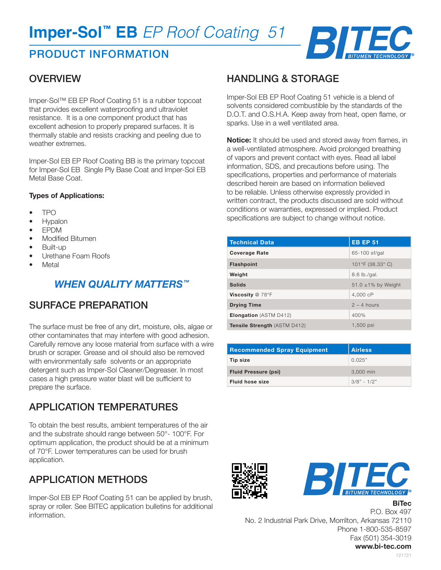# PRODUCT INFORMATION



### **OVERVIEW**

Imper-Sol™ EB EP Roof Coating 51 is a rubber topcoat that provides excellent waterproofing and ultraviolet resistance. It is a one component product that has excellent adhesion to properly prepared surfaces. It is thermally stable and resists cracking and peeling due to weather extremes.

Imper-Sol EB EP Roof Coating BB is the primary topcoat for Imper-Sol EB Single Ply Base Coat and Imper-Sol EB Metal Base Coat.

#### **Types of Applications:**

- TPO
- Hypalon
- EPDM
- Modified Bitumen
- Built-up
- Urethane Foam Roofs
- **Metal**

### *WHEN QUALITY MATTERS™*

# SURFACE PREPARATION

The surface must be free of any dirt, moisture, oils, algae or other contaminates that may interfere with good adhesion. Carefully remove any loose material from surface with a wire brush or scraper. Grease and oil should also be removed with environmentally safe solvents or an appropriate detergent such as Imper-Sol Cleaner/Degreaser. In most cases a high pressure water blast will be sufficient to prepare the surface.

# APPLICATION TEMPERATURES

To obtain the best results, ambient temperatures of the air and the substrate should range between 50°- 100°F. For optimum application, the product should be at a minimum of 70°F. Lower temperatures can be used for brush application.

# APPLICATION METHODS

Imper-Sol EB EP Roof Coating 51 can be applied by brush, spray or roller. See BITEC application bulletins for additional information.

#### HANDLING & STORAGE

Imper-Sol EB EP Roof Coating 51 vehicle is a blend of solvents considered combustible by the standards of the D.O.T. and O.S.H.A. Keep away from heat, open flame, or sparks. Use in a well ventilated area.

**Notice:** It should be used and stored away from flames, in a well-ventilated atmosphere. Avoid prolonged breathing of vapors and prevent contact with eyes. Read all label information, SDS, and precautions before using. The specifications, properties and performance of materials described herein are based on information believed to be reliable. Unless otherwise expressly provided in written contract, the products discussed are sold without conditions or warranties, expressed or implied. Product specifications are subject to change without notice.

| <b>Technical Data</b>               | <b>EB EP 51</b>         |
|-------------------------------------|-------------------------|
| <b>Coverage Rate</b>                | 65-100 sf/gal           |
| <b>Flashpoint</b>                   | 101°F (38.33° C)        |
| Weight                              | 8.6 lb./gal.            |
| <b>Solids</b>                       | 51.0 $\pm$ 1% by Weight |
| Viscosity @ 78°F                    | 4,000 cP                |
| <b>Drying Time</b>                  | $2 - 4$ hours           |
| <b>Elongation</b> (ASTM D412)       | 400%                    |
| <b>Tensile Strength (ASTM D412)</b> | 1,500 psi               |

| <b>Recommended Spray Equipment</b> | Airless       |
|------------------------------------|---------------|
| Tip size                           | 0.025"        |
| <b>Fluid Pressure (psi)</b>        | 3,000 min     |
| <b>Fluid hose size</b>             | $3/8" - 1/2"$ |





**BiTec**

P.O. Box 497 No. 2 Industrial Park Drive, Morrilton, Arkansas 72110 Phone 1-800-535-8597 Fax (501) 354-3019 **www.bi-tec.com**

121721